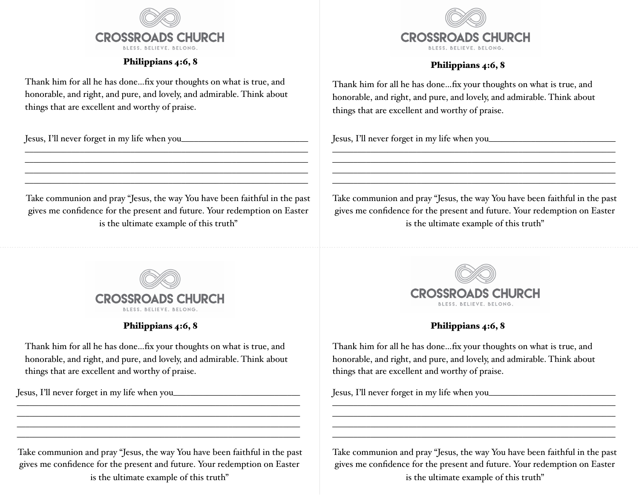

## Philippians 4:6, 8

Thank him for all he has done…fix your thoughts on what is true, and honorable, and right, and pure, and lovely, and admirable. Think about things that are excellent and worthy of praise.

Jesus, I'll never forget in my life when you\_\_\_\_\_\_\_\_\_\_\_\_\_\_\_\_\_\_\_\_\_\_\_\_\_\_\_\_\_\_



\_\_\_\_\_\_\_\_\_\_\_\_\_\_\_\_\_\_\_\_\_\_\_\_\_\_\_\_\_\_\_\_\_\_\_\_\_\_\_\_\_\_\_\_\_\_\_\_\_\_\_\_\_\_\_\_\_\_\_\_\_\_\_\_\_\_\_  $\overline{\phantom{a}}$  , and the contribution of the contribution of  $\overline{\phantom{a}}$  , and  $\overline{\phantom{a}}$  , and  $\overline{\phantom{a}}$  , and  $\overline{\phantom{a}}$  $\overline{\phantom{a}}$  , and the contract of the contract of the contract of the contract of the contract of the contract of the contract of the contract of the contract of the contract of the contract of the contract of the contrac \_\_\_\_\_\_\_\_\_\_\_\_\_\_\_\_\_\_\_\_\_\_\_\_\_\_\_\_\_\_\_\_\_\_\_\_\_\_\_\_\_\_\_\_\_\_\_\_\_\_\_\_\_\_\_\_\_\_\_\_\_\_\_\_\_\_\_



Philippians 4:6, 8

Thank him for all he has done…fix your thoughts on what is true, and honorable, and right, and pure, and lovely, and admirable. Think about things that are excellent and worthy of praise.

 $\overline{\phantom{a}}$  , and the contribution of the contribution of  $\overline{\phantom{a}}$  $\mathcal{L}_\text{max}$  and  $\mathcal{L}_\text{max}$  and  $\mathcal{L}_\text{max}$  and  $\mathcal{L}_\text{max}$  and  $\mathcal{L}_\text{max}$  and  $\mathcal{L}_\text{max}$ 

Jesus, I'll never forget in my life when you\_\_\_\_\_\_\_\_\_\_\_\_\_\_\_\_\_\_\_\_\_\_\_\_\_\_\_\_\_\_



## Philippians 4:6, 8

Thank him for all he has done…fix your thoughts on what is true, and honorable, and right, and pure, and lovely, and admirable. Think about things that are excellent and worthy of praise.

Jesus, I'll never forget in my life when you\_\_\_\_\_\_\_\_\_\_\_\_\_\_\_\_\_\_\_\_\_\_\_\_\_\_\_\_\_\_

Take communion and pray "Jesus, the way You have been faithful in the past gives me confidence for the present and future. Your redemption on Easter is the ultimate example of this truth"

\_\_\_\_\_\_\_\_\_\_\_\_\_\_\_\_\_\_\_\_\_\_\_\_\_\_\_\_\_\_\_\_\_\_\_\_\_\_\_\_\_\_\_\_\_\_\_\_\_\_\_\_\_\_\_\_\_\_\_\_\_\_\_\_\_\_\_  $\overline{\phantom{a}}$  , and the contribution of the contribution of  $\overline{\phantom{a}}$  , and  $\overline{\phantom{a}}$  , and  $\overline{\phantom{a}}$  , and  $\overline{\phantom{a}}$  $\overline{\phantom{a}}$  , and the contract of the contract of the contract of the contract of the contract of the contract of the contract of the contract of the contract of the contract of the contract of the contract of the contrac \_\_\_\_\_\_\_\_\_\_\_\_\_\_\_\_\_\_\_\_\_\_\_\_\_\_\_\_\_\_\_\_\_\_\_\_\_\_\_\_\_\_\_\_\_\_\_\_\_\_\_\_\_\_\_\_\_\_\_\_\_\_\_\_\_\_\_



# Philippians 4:6, 8

Thank him for all he has done…fix your thoughts on what is true, and honorable, and right, and pure, and lovely, and admirable. Think about things that are excellent and worthy of praise.

Jesus, I'll never forget in my life when you\_\_\_\_\_\_\_\_\_\_\_\_\_\_\_\_\_\_\_\_\_\_\_\_\_\_\_\_\_\_

Take communion and pray "Jesus, the way You have been faithful in the past gives me confidence for the present and future. Your redemption on Easter is the ultimate example of this truth"

 $\overline{\phantom{a}}$  , and the contribution of the contribution of  $\overline{\phantom{a}}$ 

Take communion and pray "Jesus, the way You have been faithful in the past gives me confidence for the present and future. Your redemption on Easter is the ultimate example of this truth"

 $\overline{\phantom{a}}$  , and the contract of the contract of the contract of the contract of the contract of the contract of the contract of the contract of the contract of the contract of the contract of the contract of the contrac \_\_\_\_\_\_\_\_\_\_\_\_\_\_\_\_\_\_\_\_\_\_\_\_\_\_\_\_\_\_\_\_\_\_\_\_\_\_\_\_\_\_\_\_\_\_\_\_\_\_\_\_\_\_\_\_\_\_\_\_\_\_\_\_\_\_\_

 $\overline{\phantom{a}}$  , and the contract of the contract of the contract of the contract of the contract of the contract of the contract of the contract of the contract of the contract of the contract of the contract of the contrac